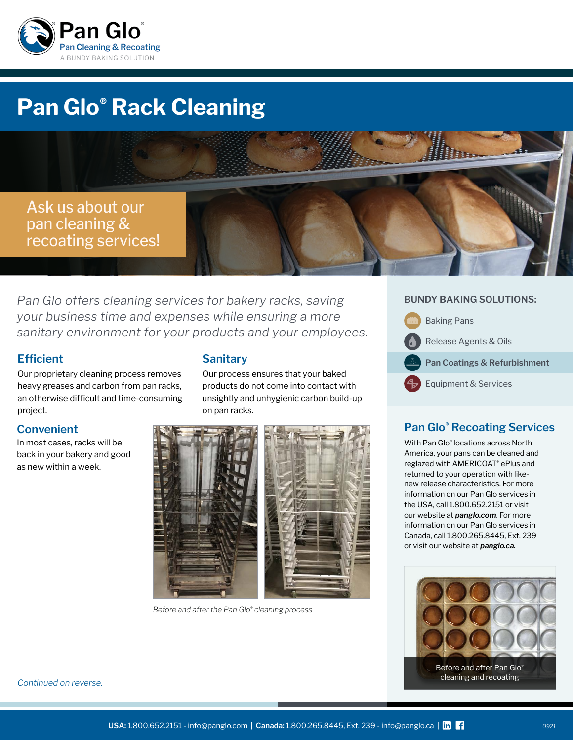

# **Pan Glo® Rack Cleaning**



*Pan Glo offers cleaning services for bakery racks, saving your business time and expenses while ensuring a more sanitary environment for your products and your employees.*

# **Efficient**

Our proprietary cleaning process removes heavy greases and carbon from pan racks, an otherwise difficult and time-consuming project.

# **Convenient**

In most cases, racks will be back in your bakery and good as new within a week.

# **Sanitary**

Our process ensures that your baked products do not come into contact with unsightly and unhygienic carbon build-up on pan racks.



*Before and after the Pan Glo® cleaning process*

## **BUNDY BAKING SOLUTIONS:**



# **Pan Glo® Recoating Services**

With Pan Glo® locations across North America, your pans can be cleaned and reglazed with AMERICOAT® ePlus and returned to your operation with likenew release characteristics. For more information on our Pan Glo services in the USA, call 1.800.652.2151 or visit our website at *[panglo.com](http://panglo.com)*. For more information on our Pan Glo services in Canada, call 1.800.265.8445, Ext. 239 or visit our website at *[panglo.ca](http://panglo.ca).*



*Continued on reverse.*